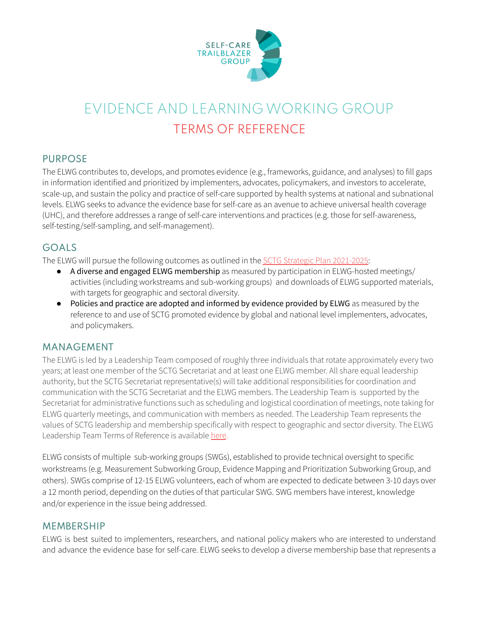

# EVIDENCE AND LEARNING WORKING GROUP TERMS OF REFERENCE

## PURPOSE

The ELWG contributes to, develops, and promotes evidence (e.g., frameworks, guidance, and analyses) to fill gaps in information identified and prioritized by implementers, advocates, policymakers, and investors to accelerate, scale-up, and sustain the policy and practice of self-care supported by health systems at national and subnational levels. ELWG seeks to advance the evidence base for self-care as an avenue to achieve universal health coverage (UHC), and therefore addresses a range of self-care interventions and practices (e.g. those for self-awareness, self-testing/self-sampling, and self-management).

# GOALS

The ELWG will pursue the following outcomes as outlined in the SCTG Strategic Plan [2021-2025:](https://www.psi.org/project/self-care/2021-2025-strategic-plan/)

- A diverse and engaged ELWG membership as measured by participation in ELWG-hosted meetings/ activities (including workstreams and sub-working groups) and downloads of ELWG supported materials, with targets for geographic and sectoral diversity.
- Policies and practice are adopted and informed by evidence provided by ELWG as measured by the reference to and use of SCTG promoted evidence by global and national level implementers, advocates, and policymakers.

#### MANAGEMENT

The ELWG is led by a Leadership Team composed of roughly three individuals that rotate approximately every two years; at least one member of the SCTG Secretariat and at least one ELWG member. All share equal leadership authority, but the SCTG Secretariat representative(s) will take additional responsibilities for coordination and communication with the SCTG Secretariat and the ELWG members. The Leadership Team is supported by the Secretariat for administrative functions such as scheduling and logistical coordination of meetings, note taking for ELWG quarterly meetings, and communication with members as needed. The Leadership Team represents the values of SCTG leadership and membership specifically with respect to geographic and sector diversity. The ELWG Leadership Team Terms of Reference is available [here](https://www.psi.org/wp-content/uploads/2021/09/ELWG-Leadership-Team-TOR.pdf).

ELWG consists of multiple sub-working groups (SWGs), established to provide technical oversight to specific workstreams (e.g. Measurement Subworking Group, Evidence Mapping and Prioritization Subworking Group, and others). SWGs comprise of 12-15 ELWG volunteers, each of whom are expected to dedicate between 3-10 days over a 12 month period, depending on the duties of that particular SWG. SWG members have interest, knowledge and/or experience in the issue being addressed.

#### **MEMBERSHIP**

ELWG is best suited to implementers, researchers, and national policy makers who are interested to understand and advance the evidence base for self-care. ELWG seeks to develop a diverse membership base that represents a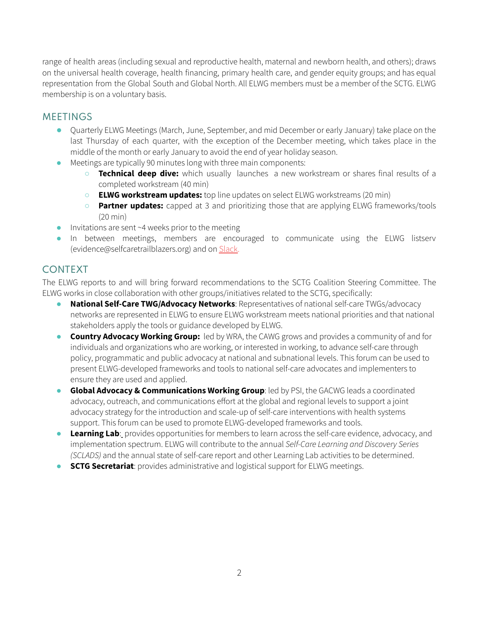range of health areas (including sexual and reproductive health, maternal and newborn health, and others); draws on the universal health coverage, health financing, primary health care, and gender equity groups; and has equal representation from the Global South and Global North. All ELWG members must be a member of the SCTG. ELWG membership is on a voluntary basis.

## **MEETINGS**

- Quarterly ELWG Meetings (March, June, September, and mid December or early January) take place on the last Thursday of each quarter, with the exception of the December meeting, which takes place in the middle of the month or early January to avoid the end of year holiday season.
- Meetings are typically 90 minutes long with three main components:
	- **Technical deep dive:** which usually launches a new workstream or shares final results of a completed workstream (40 min)
	- **ELWG workstream updates:** top line updates on select ELWG workstreams (20 min)
	- **Partner updates:** capped at 3 and prioritizing those that are applying ELWG frameworks/tools (20 min)
- $\bullet$  Invitations are sent ~4 weeks prior to the meeting
- In between meetings, members are encouraged to communicate using the ELWG listserv [\(evidence@selfcaretrailblazers.org\)](mailto:evidence@selfcaretrailblazers.org) and on [Slack.](https://join.slack.com/t/sctgmemberportal/shared_invite/zt-osf12ksj-OVpFlNPd0S7a~q54GeIXSg)

# CONTEXT

The ELWG reports to and will bring forward recommendations to the SCTG Coalition Steering Committee. The ELWG works in close collaboration with other groups/initiatives related to the SCTG, specifically:

- **National Self-Care TWG/Advocacy Networks**: Representatives of national self-care TWGs/advocacy networks are represented in ELWG to ensure ELWG workstream meets national priorities and that national stakeholders apply the tools or guidance developed by ELWG.
- **Country Advocacy Working Group:** led by WRA, the CAWG grows and provides a community of and for individuals and organizations who are working, or interested in working, to advance self-care through policy, programmatic and public advocacy at national and subnational levels. This forum can be used to present ELWG-developed frameworks and tools to national self-care advocates and implementers to ensure they are used and applied.
- **Global Advocacy & Communications Working Group**: led by PSI, the GACWG leads a coordinated advocacy, outreach, and communications effort at the global and regional levels to support a joint advocacy strategy for the introduction and scale-up of self-care interventions with health systems support. This forum can be used to promote ELWG-developed frameworks and tools.
- **Learning Lab**: provides opportunities for members to learn across the self-care evidence, advocacy, and implementation spectrum. ELWG will contribute to the annual *Self-Care Learning and Discovery Series (SCLADS)* and the annual state of self-care report and other Learning Lab activities to be determined.
- **SCTG Secretariat**: provides administrative and logistical support for ELWG meetings.